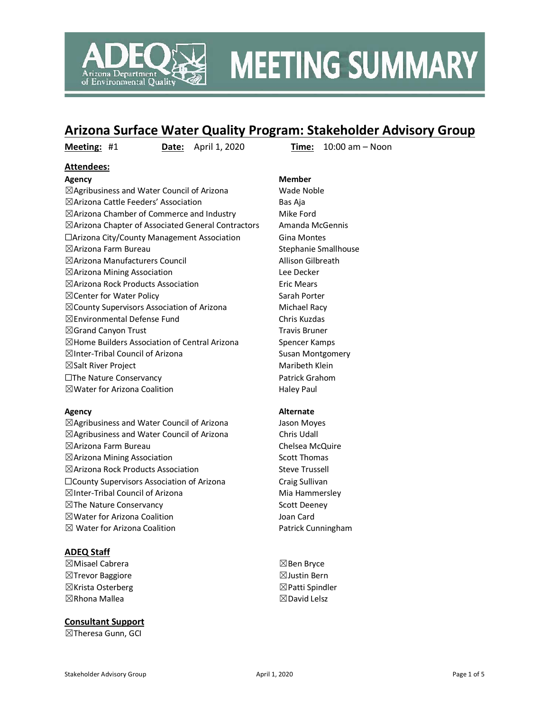

# **MEETING SUMMARY**

## **Arizona Surface Water Quality Program: Stakeholder Advisory Group**

**Meeting:** #1 **Date:** April 1, 2020 **Time:** 10:00 am – Noon

#### **Attendees:**

 $\boxtimes$ Agribusiness and Water Council of Arizona Wade Noble ☒Arizona Cattle Feeders' Association Bas Aja  $\boxtimes$ Arizona Chamber of Commerce and Industry Mike Ford ☒Arizona Chapter of Associated General Contractors Amanda McGennis ☐Arizona City/County Management Association Gina Montes ☒Arizona Farm Bureau Stephanie Smallhouse ☒Arizona Manufacturers Council Allison Gilbreath ☒Arizona Mining Association Lee Decker  $\boxtimes$ Arizona Rock Products Association Eric Mears ⊠ Center for Water Policy Sarah Porter  $\boxtimes$ County Supervisors Association of Arizona Michael Racy ☒Environmental Defense Fund Chris Kuzdas  $\boxtimes$ Grand Canyon Trust Travis Bruner  $\boxtimes$  Home Builders Association of Central Arizona Spencer Kamps ⊠Inter-Tribal Council of Arizona Susan Montgomery  $\boxtimes$ Salt River Project Maribeth Klein ☐The Nature Conservancy Patrick Grahom  $\boxtimes$  Water for Arizona Coalition  $\Box$  Haley Paul

 $\boxtimes$ Agribusiness and Water Council of Arizona Jason Moyes ☒Agribusiness and Water Council of Arizona Chris Udall ☒Arizona Farm Bureau Chelsea McQuire  $\boxtimes$ Arizona Mining Association  $\boxtimes$  Scott Thomas ⊠Arizona Rock Products Association Steve Trussell ☐County Supervisors Association of Arizona Craig Sullivan ☒Inter-Tribal Council of Arizona Mia Hammersley ☒The Nature Conservancy Scott Deeney ☒Water for Arizona Coalition Joan Card ⊠ Water for Arizona Coalition **Patrick Cunningham** 

#### **ADEQ Staff**

☒Misael Cabrera ☒Trevor Baggiore ☒Krista Osterberg ☒Rhona Mallea

#### **Consultant Support**

☒Theresa Gunn, GCI

## **Agency Member**

#### **Agency Alternate**

☒Ben Bryce ☒Justin Bern ☒Patti Spindler ☒David Lelsz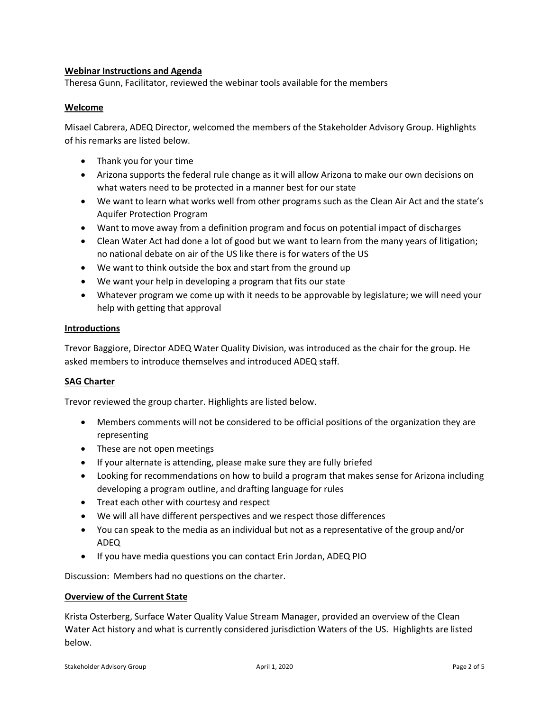#### **Webinar Instructions and Agenda**

Theresa Gunn, Facilitator, reviewed the webinar tools available for the members

#### **Welcome**

Misael Cabrera, ADEQ Director, welcomed the members of the Stakeholder Advisory Group. Highlights of his remarks are listed below.

- Thank you for your time
- Arizona supports the federal rule change as it will allow Arizona to make our own decisions on what waters need to be protected in a manner best for our state
- We want to learn what works well from other programs such as the Clean Air Act and the state's Aquifer Protection Program
- Want to move away from a definition program and focus on potential impact of discharges
- Clean Water Act had done a lot of good but we want to learn from the many years of litigation; no national debate on air of the US like there is for waters of the US
- We want to think outside the box and start from the ground up
- We want your help in developing a program that fits our state
- Whatever program we come up with it needs to be approvable by legislature; we will need your help with getting that approval

#### **Introductions**

Trevor Baggiore, Director ADEQ Water Quality Division, was introduced as the chair for the group. He asked members to introduce themselves and introduced ADEQ staff.

#### **SAG Charter**

Trevor reviewed the group charter. Highlights are listed below.

- Members comments will not be considered to be official positions of the organization they are representing
- These are not open meetings
- If your alternate is attending, please make sure they are fully briefed
- Looking for recommendations on how to build a program that makes sense for Arizona including developing a program outline, and drafting language for rules
- Treat each other with courtesy and respect
- We will all have different perspectives and we respect those differences
- You can speak to the media as an individual but not as a representative of the group and/or ADEQ
- If you have media questions you can contact Erin Jordan, ADEQ PIO

Discussion: Members had no questions on the charter.

#### **Overview of the Current State**

Krista Osterberg, Surface Water Quality Value Stream Manager, provided an overview of the Clean Water Act history and what is currently considered jurisdiction Waters of the US. Highlights are listed below.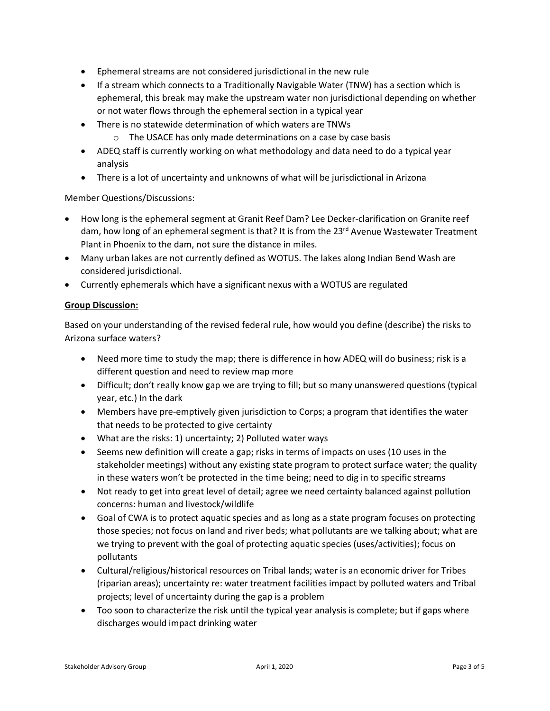- Ephemeral streams are not considered jurisdictional in the new rule
- If a stream which connects to a Traditionally Navigable Water (TNW) has a section which is ephemeral, this break may make the upstream water non jurisdictional depending on whether or not water flows through the ephemeral section in a typical year
- There is no statewide determination of which waters are TNWs
	- o The USACE has only made determinations on a case by case basis
- ADEQ staff is currently working on what methodology and data need to do a typical year analysis
- There is a lot of uncertainty and unknowns of what will be jurisdictional in Arizona

Member Questions/Discussions:

- How long is the ephemeral segment at Granit Reef Dam? Lee Decker-clarification on Granite reef dam, how long of an ephemeral segment is that? It is from the  $23<sup>rd</sup>$  Avenue Wastewater Treatment Plant in Phoenix to the dam, not sure the distance in miles.
- Many urban lakes are not currently defined as WOTUS. The lakes along Indian Bend Wash are considered jurisdictional.
- Currently ephemerals which have a significant nexus with a WOTUS are regulated

#### **Group Discussion:**

Based on your understanding of the revised federal rule, how would you define (describe) the risks to Arizona surface waters?

- Need more time to study the map; there is difference in how ADEQ will do business; risk is a different question and need to review map more
- Difficult; don't really know gap we are trying to fill; but so many unanswered questions (typical year, etc.) In the dark
- Members have pre-emptively given jurisdiction to Corps; a program that identifies the water that needs to be protected to give certainty
- What are the risks: 1) uncertainty; 2) Polluted water ways
- Seems new definition will create a gap; risks in terms of impacts on uses (10 uses in the stakeholder meetings) without any existing state program to protect surface water; the quality in these waters won't be protected in the time being; need to dig in to specific streams
- Not ready to get into great level of detail; agree we need certainty balanced against pollution concerns: human and livestock/wildlife
- Goal of CWA is to protect aquatic species and as long as a state program focuses on protecting those species; not focus on land and river beds; what pollutants are we talking about; what are we trying to prevent with the goal of protecting aquatic species (uses/activities); focus on pollutants
- Cultural/religious/historical resources on Tribal lands; water is an economic driver for Tribes (riparian areas); uncertainty re: water treatment facilities impact by polluted waters and Tribal projects; level of uncertainty during the gap is a problem
- Too soon to characterize the risk until the typical year analysis is complete; but if gaps where discharges would impact drinking water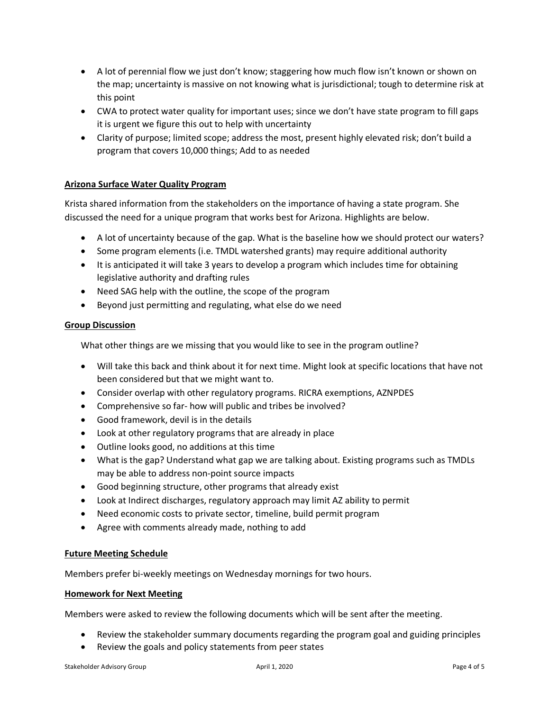- A lot of perennial flow we just don't know; staggering how much flow isn't known or shown on the map; uncertainty is massive on not knowing what is jurisdictional; tough to determine risk at this point
- CWA to protect water quality for important uses; since we don't have state program to fill gaps it is urgent we figure this out to help with uncertainty
- Clarity of purpose; limited scope; address the most, present highly elevated risk; don't build a program that covers 10,000 things; Add to as needed

### **Arizona Surface Water Quality Program**

Krista shared information from the stakeholders on the importance of having a state program. She discussed the need for a unique program that works best for Arizona. Highlights are below.

- A lot of uncertainty because of the gap. What is the baseline how we should protect our waters?
- Some program elements (i.e. TMDL watershed grants) may require additional authority
- It is anticipated it will take 3 years to develop a program which includes time for obtaining legislative authority and drafting rules
- Need SAG help with the outline, the scope of the program
- Beyond just permitting and regulating, what else do we need

#### **Group Discussion**

What other things are we missing that you would like to see in the program outline?

- Will take this back and think about it for next time. Might look at specific locations that have not been considered but that we might want to.
- Consider overlap with other regulatory programs. RICRA exemptions, AZNPDES
- Comprehensive so far- how will public and tribes be involved?
- Good framework, devil is in the details
- Look at other regulatory programs that are already in place
- Outline looks good, no additions at this time
- What is the gap? Understand what gap we are talking about. Existing programs such as TMDLs may be able to address non-point source impacts
- Good beginning structure, other programs that already exist
- Look at Indirect discharges, regulatory approach may limit AZ ability to permit
- Need economic costs to private sector, timeline, build permit program
- Agree with comments already made, nothing to add

#### **Future Meeting Schedule**

Members prefer bi-weekly meetings on Wednesday mornings for two hours.

#### **Homework for Next Meeting**

Members were asked to review the following documents which will be sent after the meeting.

- Review the stakeholder summary documents regarding the program goal and guiding principles
- Review the goals and policy statements from peer states